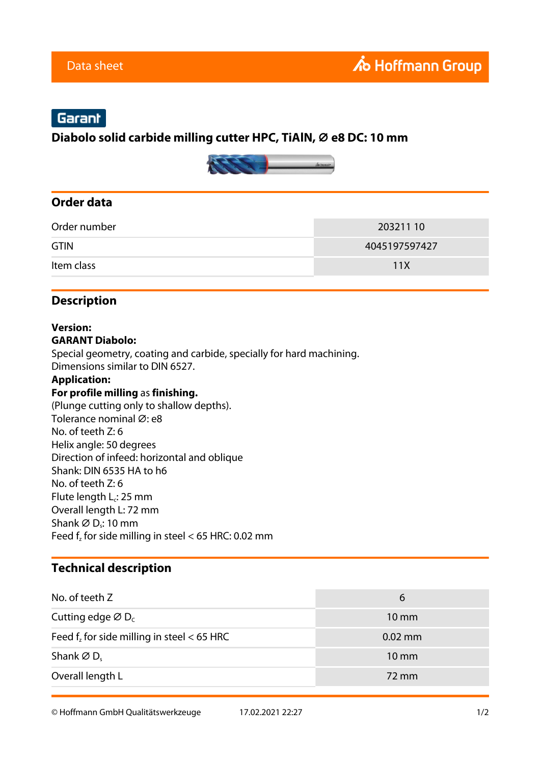# Garant

**Diabolo solid carbide milling cutter HPC, TiAlN, ⌀ e8 DC: 10 mm**



## **Order data**

| Order number | 20321110      |
|--------------|---------------|
| <b>GTIN</b>  | 4045197597427 |
| Item class   | 11X           |

## **Description**

#### **Version: GARANT Diabolo:**

Special geometry, coating and carbide, specially for hard machining. Dimensions similar to DIN 6527.

#### **Application:**

### **For profile milling** as **finishing.**

(Plunge cutting only to shallow depths). Tolerance nominal Ø: e8 No. of teeth Z: 6 Helix angle: 50 degrees Direction of infeed: horizontal and oblique Shank: DIN 6535 HA to h6 No. of teeth Z: 6 Flute length  $L_c$ : 25 mm Overall length L: 72 mm Shank  $\varnothing$  D<sub>s</sub>: 10 mm Feed  $f<sub>z</sub>$  for side milling in steel  $<$  65 HRC: 0.02 mm

### **Technical description**

| No. of teeth Z                                  | 6               |
|-------------------------------------------------|-----------------|
| Cutting edge $\varnothing$ D <sub>c</sub>       | $10 \text{ mm}$ |
| Feed $f_z$ for side milling in steel $<$ 65 HRC | $0.02$ mm       |
| Shank $\varnothing$ D <sub>s</sub>              | $10 \text{ mm}$ |
| Overall length L                                | 72 mm           |

© Hoffmann GmbH Qualitätswerkzeuge 17.02.2021 22:27 1/2